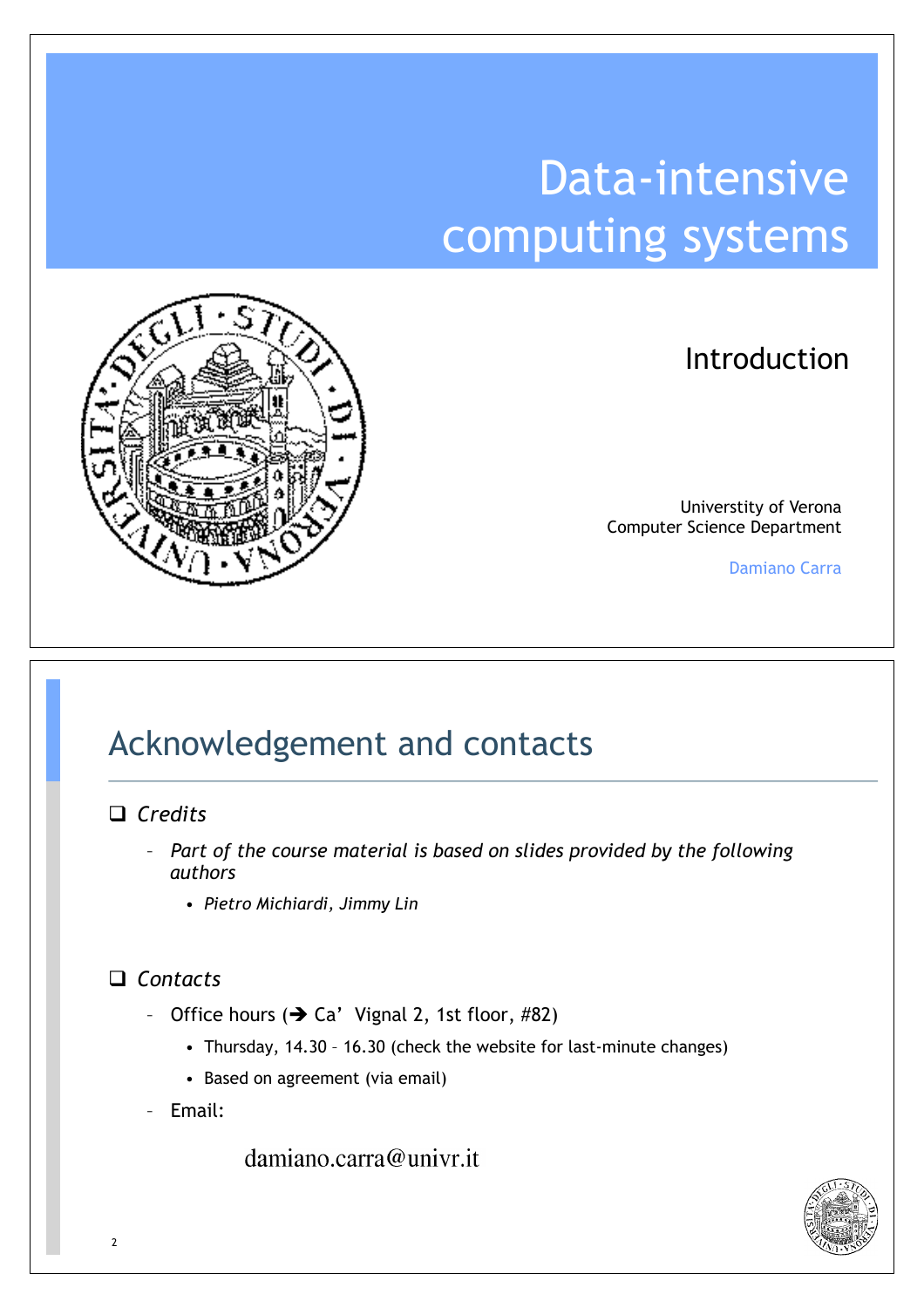## Data-intensive computing systems



#### Introduction

Universtity of Verona Computer Science Department

Damiano Carra

### Acknowledgement and contacts

#### □ *Credits*

- *Part of the course material is based on slides provided by the following authors*
	- *Pietro Michiardi, Jimmy Lin*

#### ! *Contacts*

- Office hours  $(\rightarrow$  Ca' Vignal 2, 1st floor, #82)
	- Thursday, 14.30 16.30 (check the website for last-minute changes)
	- Based on agreement (via email)
- Email:

damiano.carra@univr.it

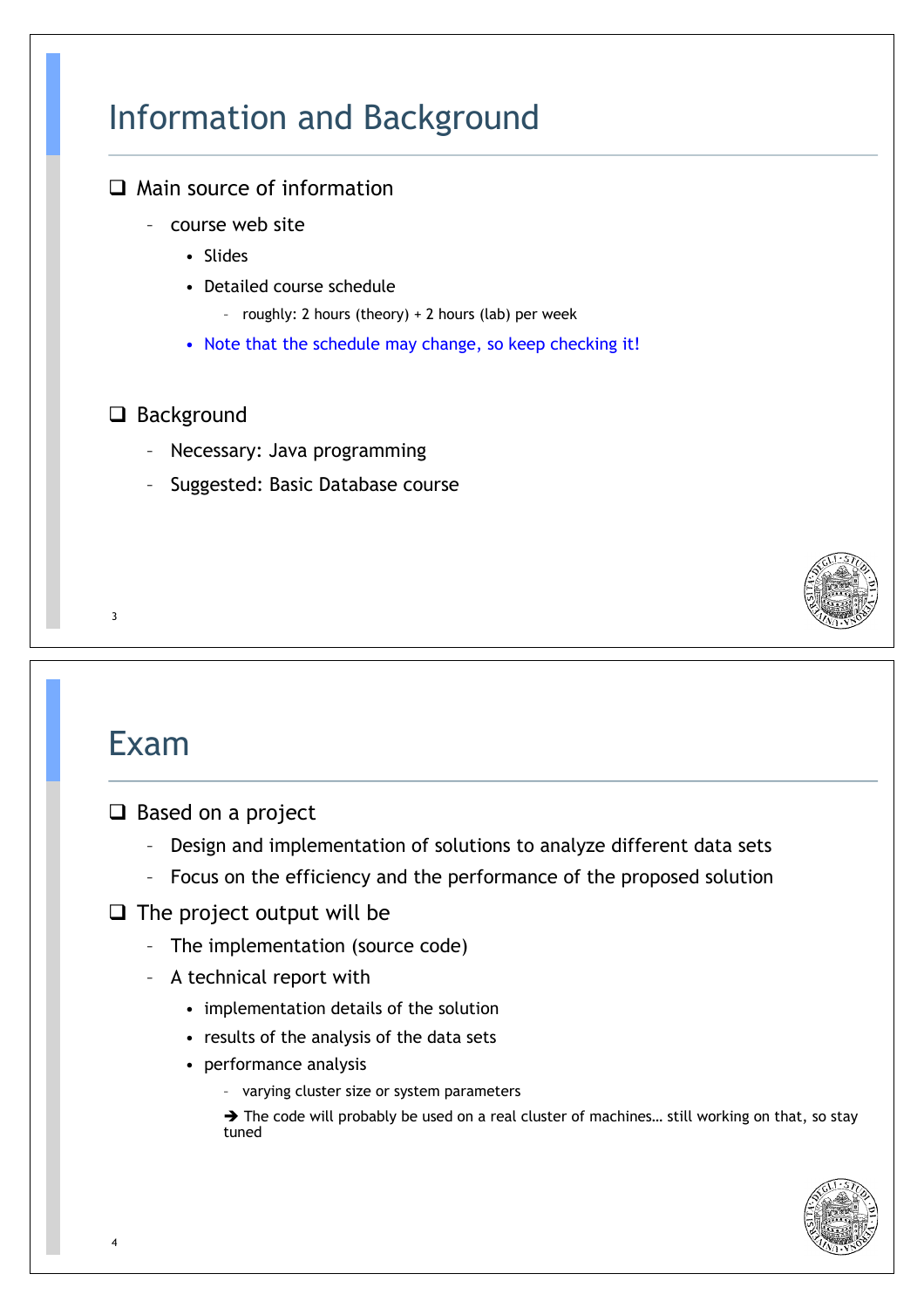### Information and Background

#### $\Box$  Main source of information

- course web site
	- Slides
	- Detailed course schedule
		- roughly: 2 hours (theory) + 2 hours (lab) per week
	- Note that the schedule may change, so keep checking it!

#### □ Background

- Necessary: Java programming
- Suggested: Basic Database course



### Exam

- $\Box$  Based on a project
	- Design and implementation of solutions to analyze different data sets
	- Focus on the efficiency and the performance of the proposed solution
- $\Box$  The project output will be
	- The implementation (source code)
	- A technical report with
		- implementation details of the solution
		- results of the analysis of the data sets
		- performance analysis
			- varying cluster size or system parameters

 $\rightarrow$  The code will probably be used on a real cluster of machines... still working on that, so stay tuned

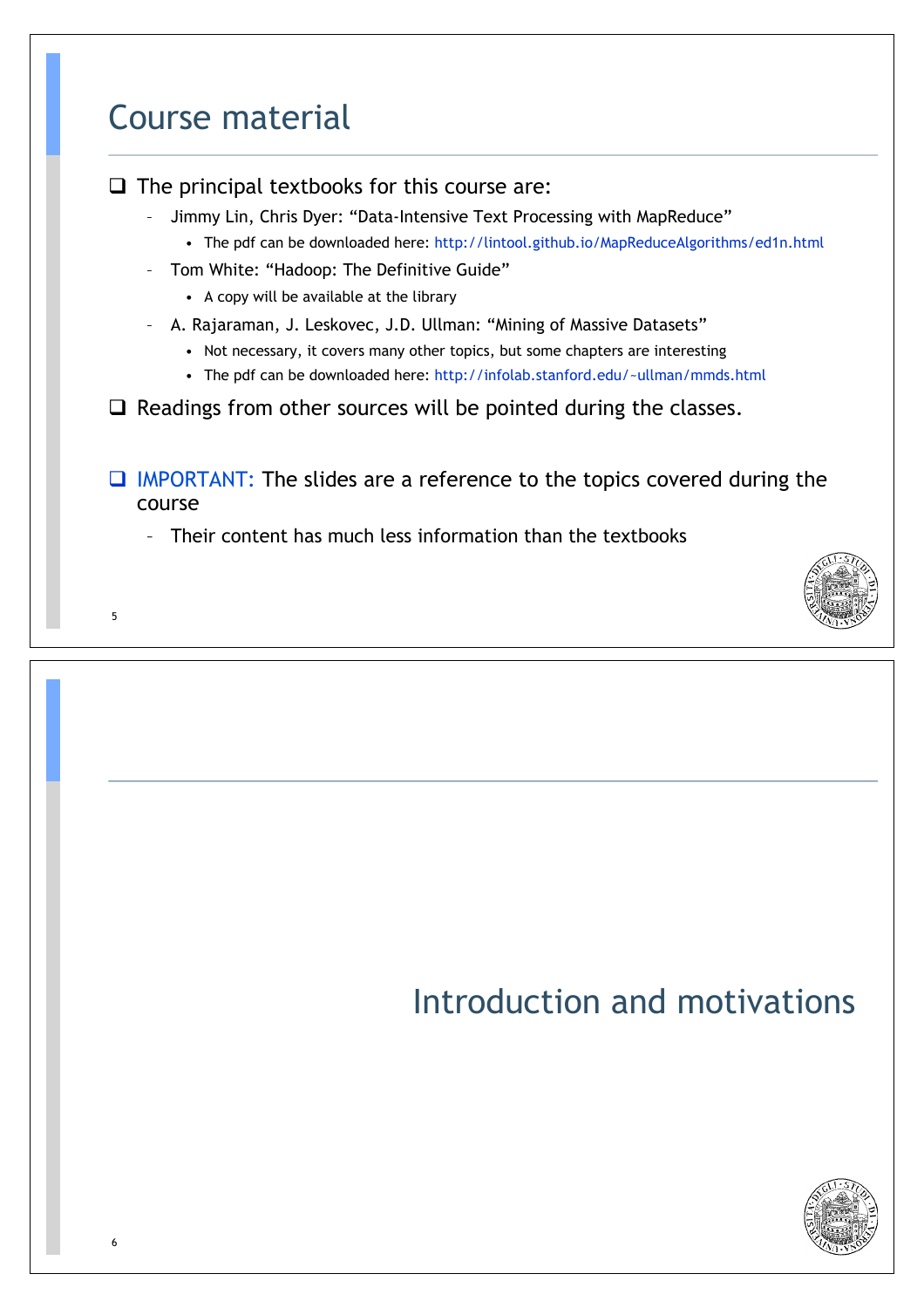# 5 Course material  $\Box$  The principal textbooks for this course are: – Jimmy Lin, Chris Dyer: "Data-Intensive Text Processing with MapReduce" • The pdf can be downloaded here: http://lintool.github.io/MapReduceAlgorithms/ed1n.html – Tom White: "Hadoop: The Definitive Guide" • A copy will be available at the library – A. Rajaraman, J. Leskovec, J.D. Ullman: "Mining of Massive Datasets" • Not necessary, it covers many other topics, but some chapters are interesting • The pdf can be downloaded here: http://infolab.stanford.edu/~ullman/mmds.html  $\Box$  Readings from other sources will be pointed during the classes.  $\Box$  IMPORTANT: The slides are a reference to the topics covered during the course – Their content has much less information than the textbooks

6

### Introduction and motivations

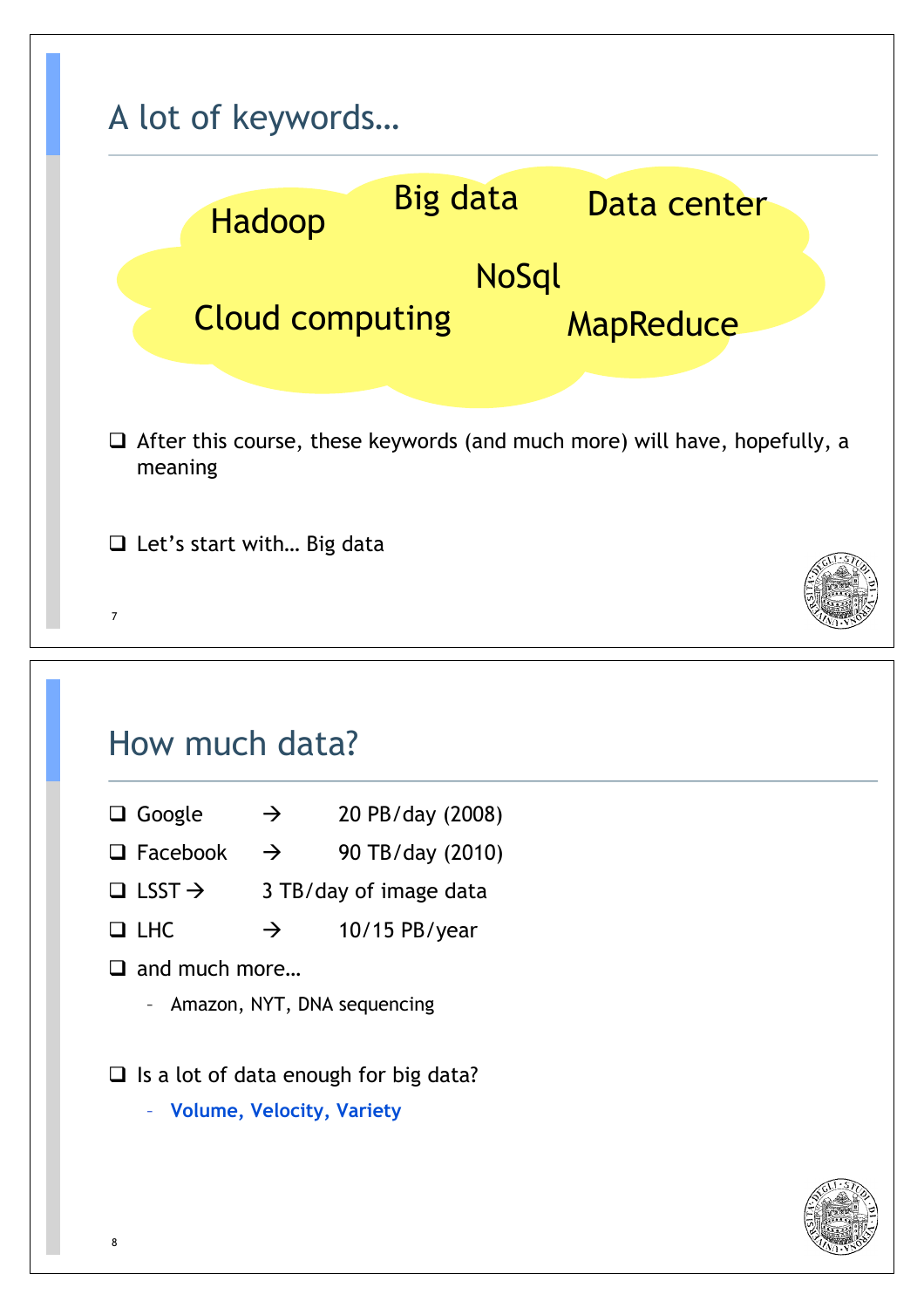

### How much data?

- $\Box$  Google  $\rightarrow$  20 PB/day (2008)
- $\Box$  Facebook  $\rightarrow$  90 TB/day (2010)
- $\Box$  LSST  $\rightarrow$  3 TB/day of image data
- $\Box$  LHC  $\rightarrow$  10/15 PB/year
- $\Box$  and much more...
	- Amazon, NYT, DNA sequencing
- $\Box$  Is a lot of data enough for big data?
	- **Volume, Velocity, Variety**

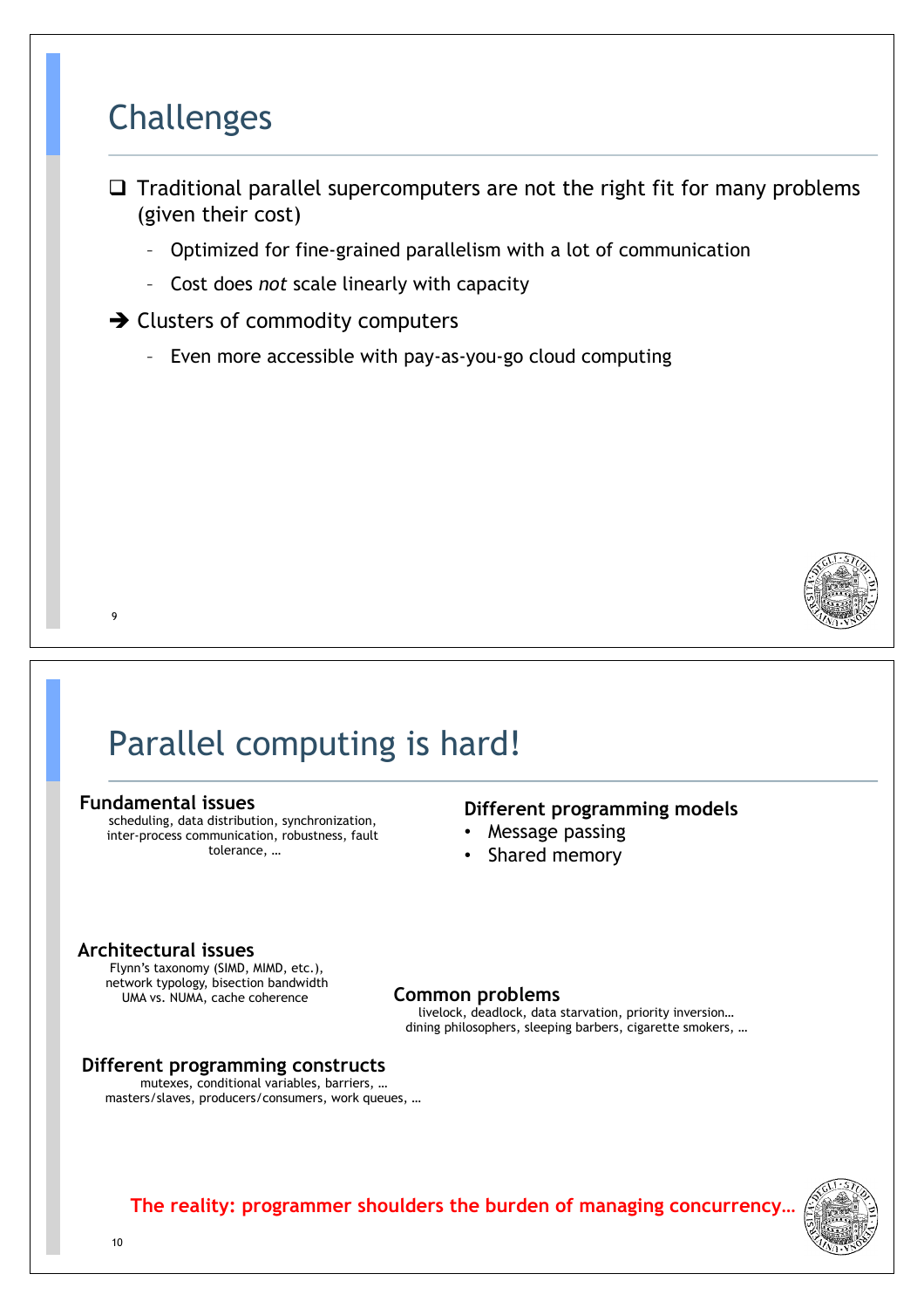#### Challenges

- $\Box$  Traditional parallel supercomputers are not the right fit for many problems (given their cost)
	- Optimized for fine-grained parallelism with a lot of communication
	- Cost does *not* scale linearly with capacity
- $\rightarrow$  Clusters of commodity computers
	- Even more accessible with pay-as-you-go cloud computing



### Parallel computing is hard!

#### **Fundamental issues**

9

scheduling, data distribution, synchronization, inter-process communication, robustness, fault tolerance, …

#### **Different programming models**

- Message passing
- Shared memory

#### **Architectural issues**

Flynn's taxonomy (SIMD, MIMD, etc.), network typology, bisection bandwidth UMA vs. NUMA, cache coherence

#### **Common problems**

livelock, deadlock, data starvation, priority inversion… dining philosophers, sleeping barbers, cigarette smokers, …

#### **Different programming constructs**

mutexes, conditional variables, barriers, … masters/slaves, producers/consumers, work queues, …

**The reality: programmer shoulders the burden of managing concurrency…** 

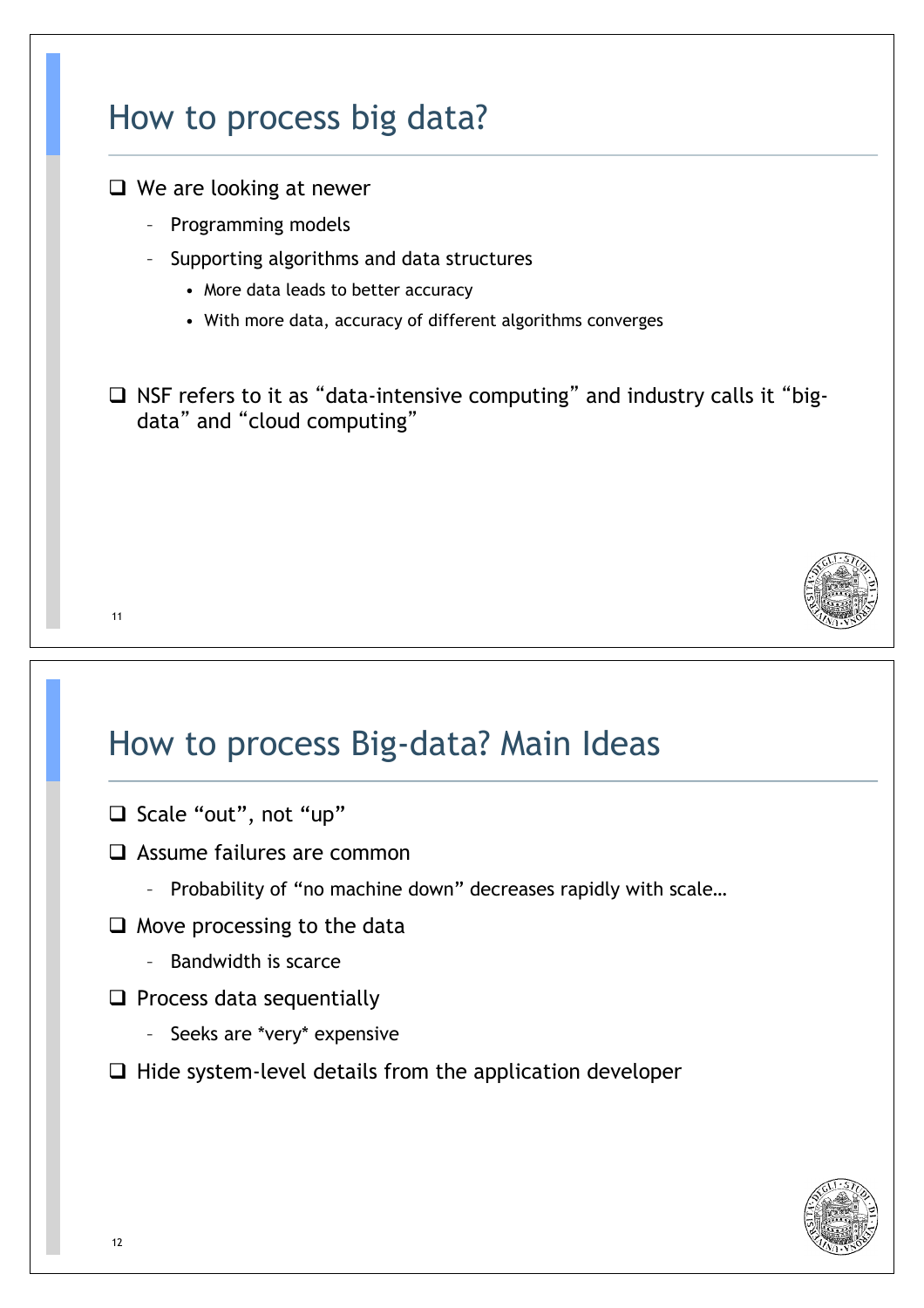# 11 How to process big data?  $\Box$  We are looking at newer – Programming models – Supporting algorithms and data structures • More data leads to better accuracy • With more data, accuracy of different algorithms converges  $\Box$  NSF refers to it as "data-intensive computing" and industry calls it "bigdata" and "cloud computing"

### How to process Big-data? Main Ideas

- □ Scale "out", not "up"
- $\Box$  Assume failures are common
	- Probability of "no machine down" decreases rapidly with scale…
- $\Box$  Move processing to the data
	- Bandwidth is scarce
- $\Box$  Process data sequentially
	- Seeks are \*very\* expensive
- $\Box$  Hide system-level details from the application developer

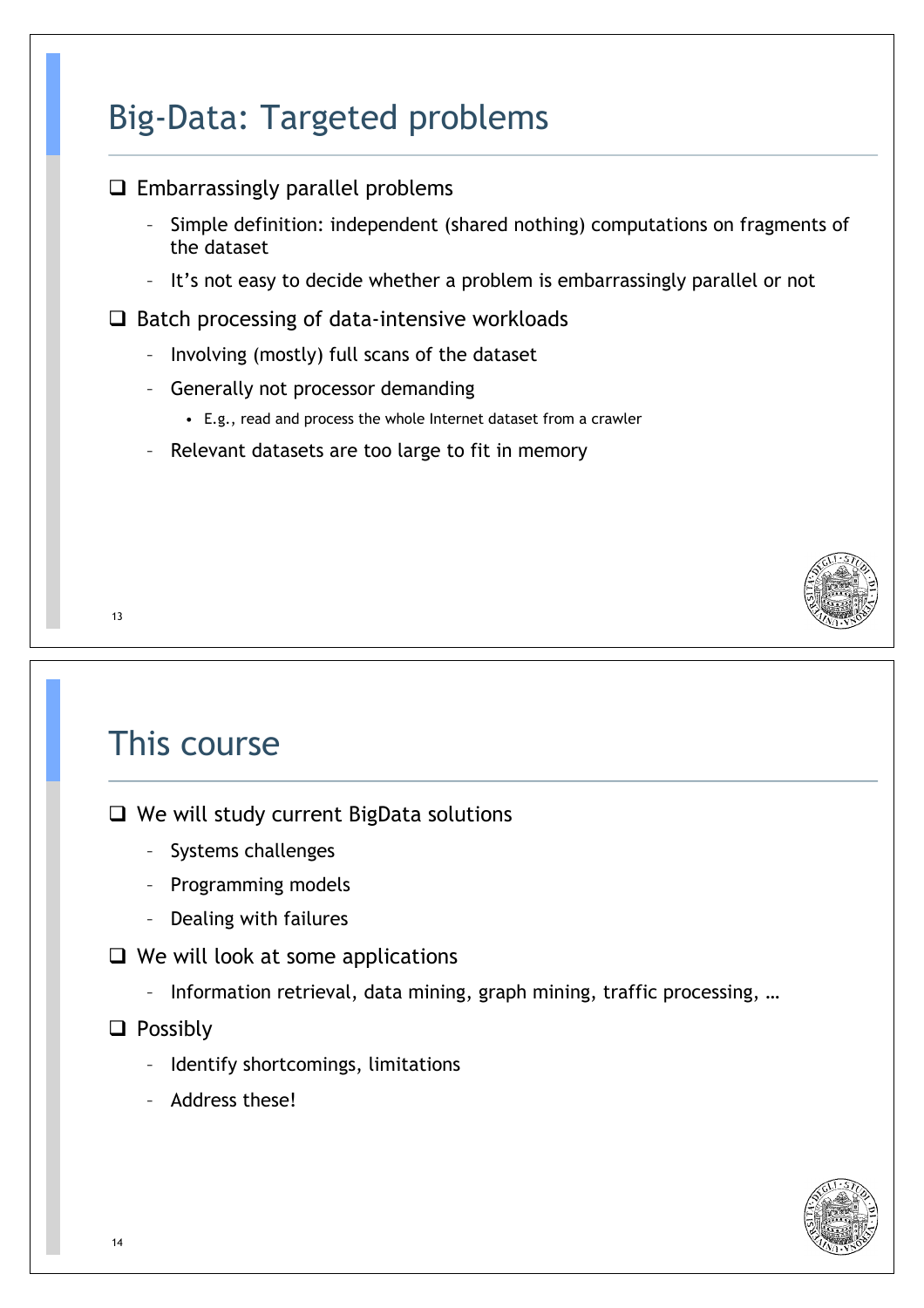### Big-Data: Targeted problems



 $\Box$  We will study current BigData solutions

- Systems challenges
- Programming models
- Dealing with failures
- $\Box$  We will look at some applications
	- Information retrieval, data mining, graph mining, traffic processing, …

#### $\Box$  Possibly

- Identify shortcomings, limitations
- Address these!

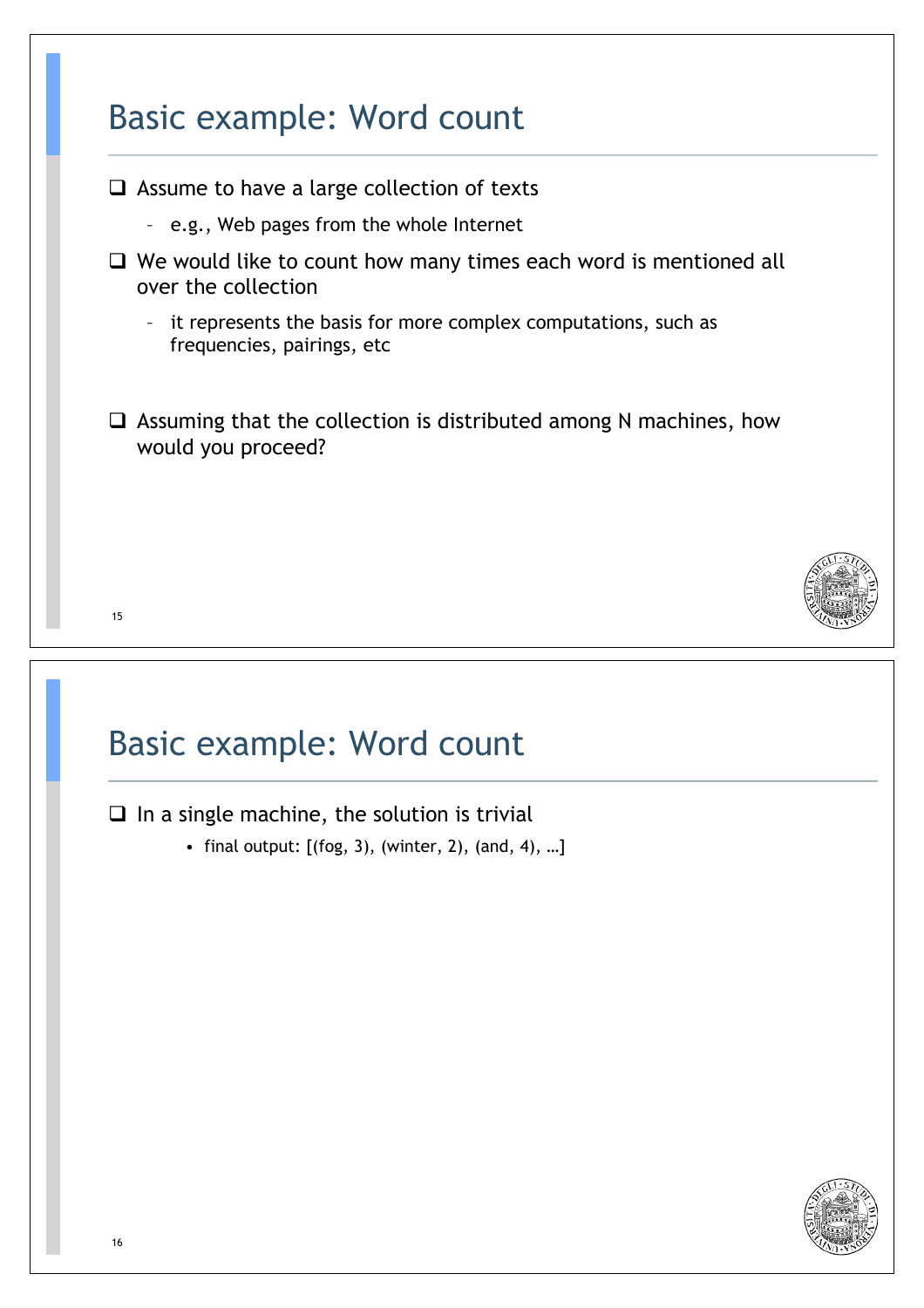# 15 Basic example: Word count  $\Box$  Assume to have a large collection of texts – e.g., Web pages from the whole Internet  $\Box$  We would like to count how many times each word is mentioned all over the collection – it represents the basis for more complex computations, such as frequencies, pairings, etc  $\Box$  Assuming that the collection is distributed among N machines, how would you proceed?

### Basic example: Word count

 $\Box$  In a single machine, the solution is trivial

• final output:  $[(f \circ g, 3), (winter, 2), (and, 4), ...]$ 

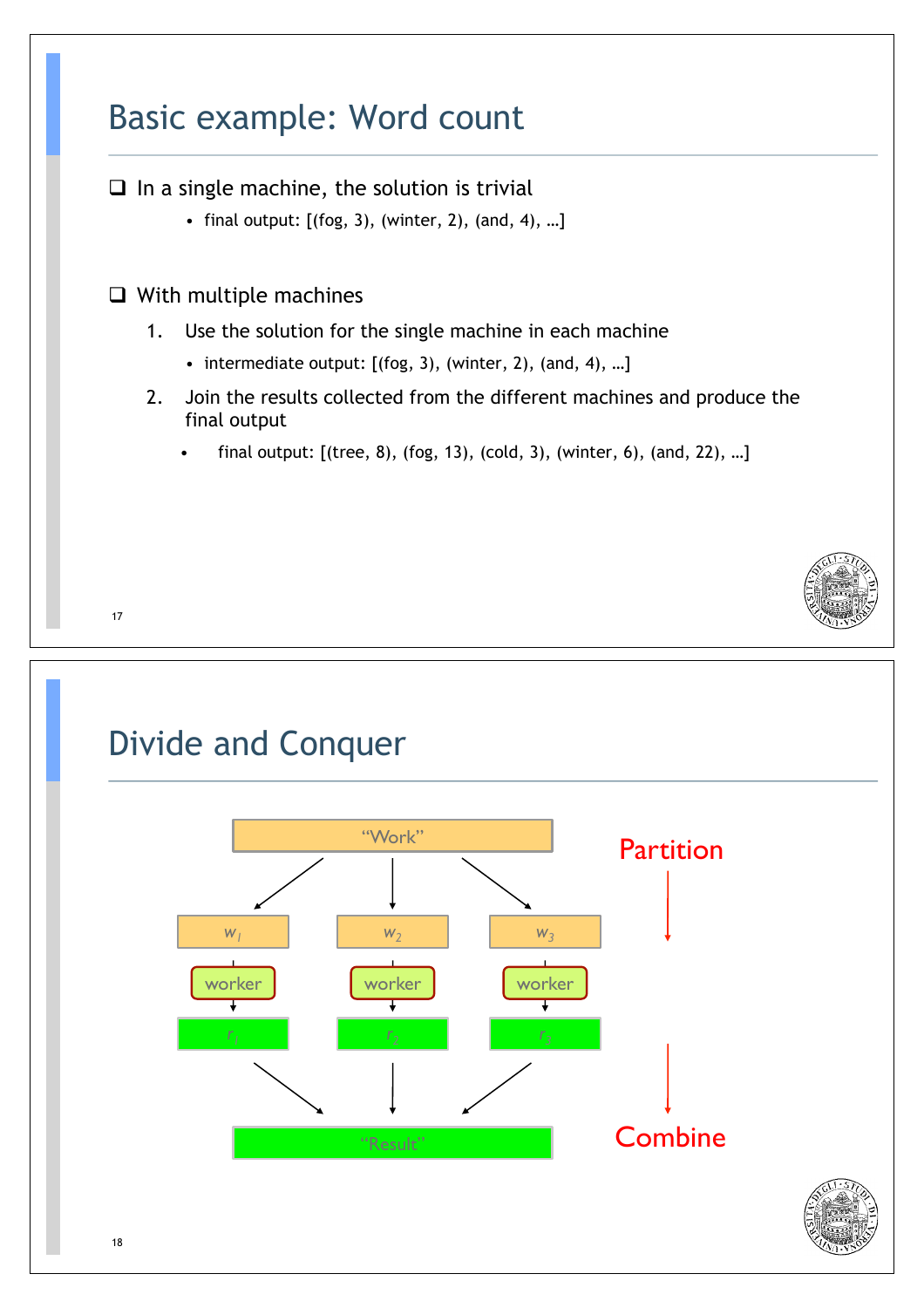### Basic example: Word count

 $\Box$  In a single machine, the solution is trivial

- final output: [(fog, 3), (winter, 2), (and, 4), …]
- $\Box$  With multiple machines
	- 1. Use the solution for the single machine in each machine
		- intermediate output: [(fog, 3), (winter, 2), (and, 4), …]
	- 2. Join the results collected from the different machines and produce the final output
		- final output:  $[(tree, 8), (fog, 13), (cold, 3), (winter, 6), (and, 22), ...]$



# Divide and Conquer "Work" **Partition**  $w_1$  **w**<sub>2</sub> **w**<sub>2</sub> **w**<sub>3</sub> worker worker worker J.  $r_1$  *r<sub>2</sub> r<sub>2</sub> r<sub>2</sub>**r<sub>3</sub>**r<sub>3</sub>* **Combine** "Result"

17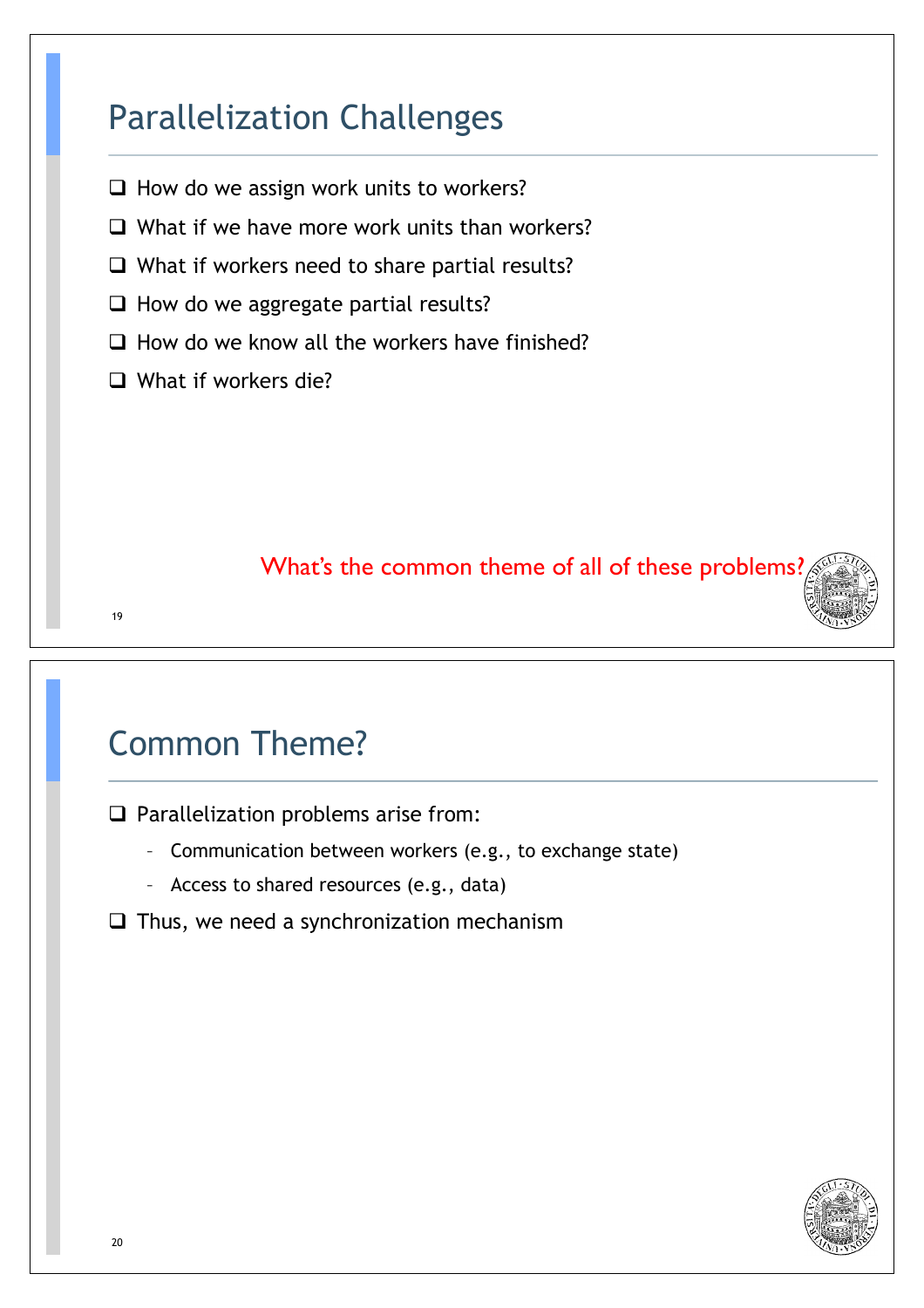### Parallelization Challenges

- $\Box$  How do we assign work units to workers?
- $\Box$  What if we have more work units than workers?
- $\Box$  What if workers need to share partial results?
- $\Box$  How do we aggregate partial results?
- $\Box$  How do we know all the workers have finished?
- $\Box$  What if workers die?

#### What's the common theme of all of these problems?

### Common Theme?

 $\Box$  Parallelization problems arise from:

- Communication between workers (e.g., to exchange state)
- Access to shared resources (e.g., data)
- $\Box$  Thus, we need a synchronization mechanism



19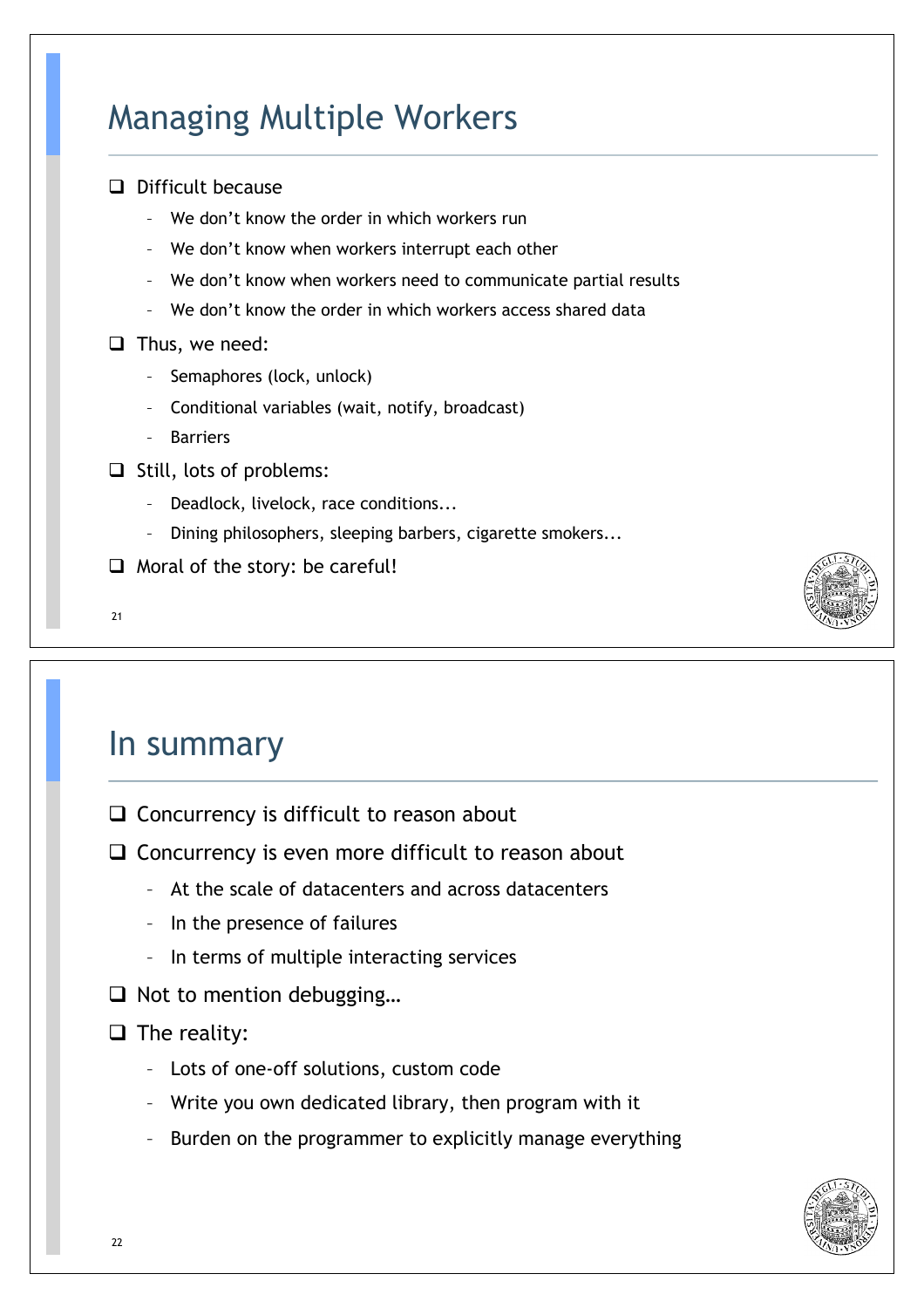### Managing Multiple Workers

| Difficult because                                                |
|------------------------------------------------------------------|
| We don't know the order in which workers run                     |
| We don't know when workers interrupt each other                  |
| - We don't know when workers need to communicate partial results |
| We don't know the order in which workers access shared data      |
| Thus, we need:                                                   |
| Semaphores (lock, unlock)                                        |
| Conditional variables (wait, notify, broadcast)                  |
| <b>Barriers</b>                                                  |
| Still, lots of problems:                                         |
| Deadlock, livelock, race conditions                              |
| Dining philosophers, sleeping barbers, cigarette smokers         |

- $\Box$  Moral of the story: be careful!
- 21

#### In summary

- $\Box$  Concurrency is difficult to reason about
- $\Box$  Concurrency is even more difficult to reason about
	- At the scale of datacenters and across datacenters
	- In the presence of failures
	- In terms of multiple interacting services
- $\Box$  Not to mention debugging...

#### $\Box$  The reality:

- Lots of one-off solutions, custom code
- Write you own dedicated library, then program with it
- Burden on the programmer to explicitly manage everything

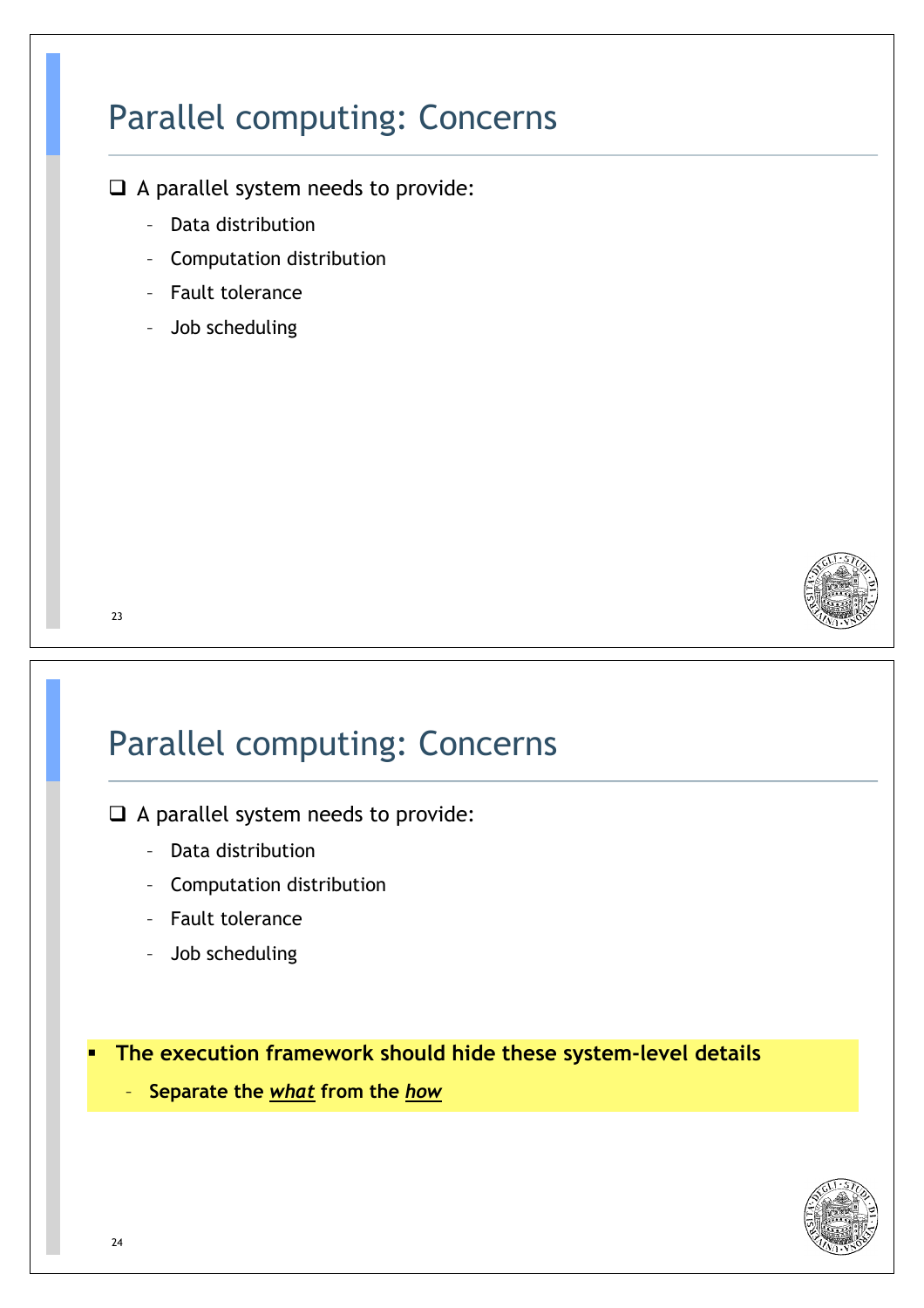### Parallel computing: Concerns

 $\Box$  A parallel system needs to provide:

- Data distribution
- Computation distribution
- Fault tolerance
- Job scheduling



#### 23

### Parallel computing: Concerns

 $\Box$  A parallel system needs to provide:

- Data distribution
- Computation distribution
- Fault tolerance
- Job scheduling

\$ **The execution framework should hide these system-level details** 

– **Separate the** *what* **from the** *how*